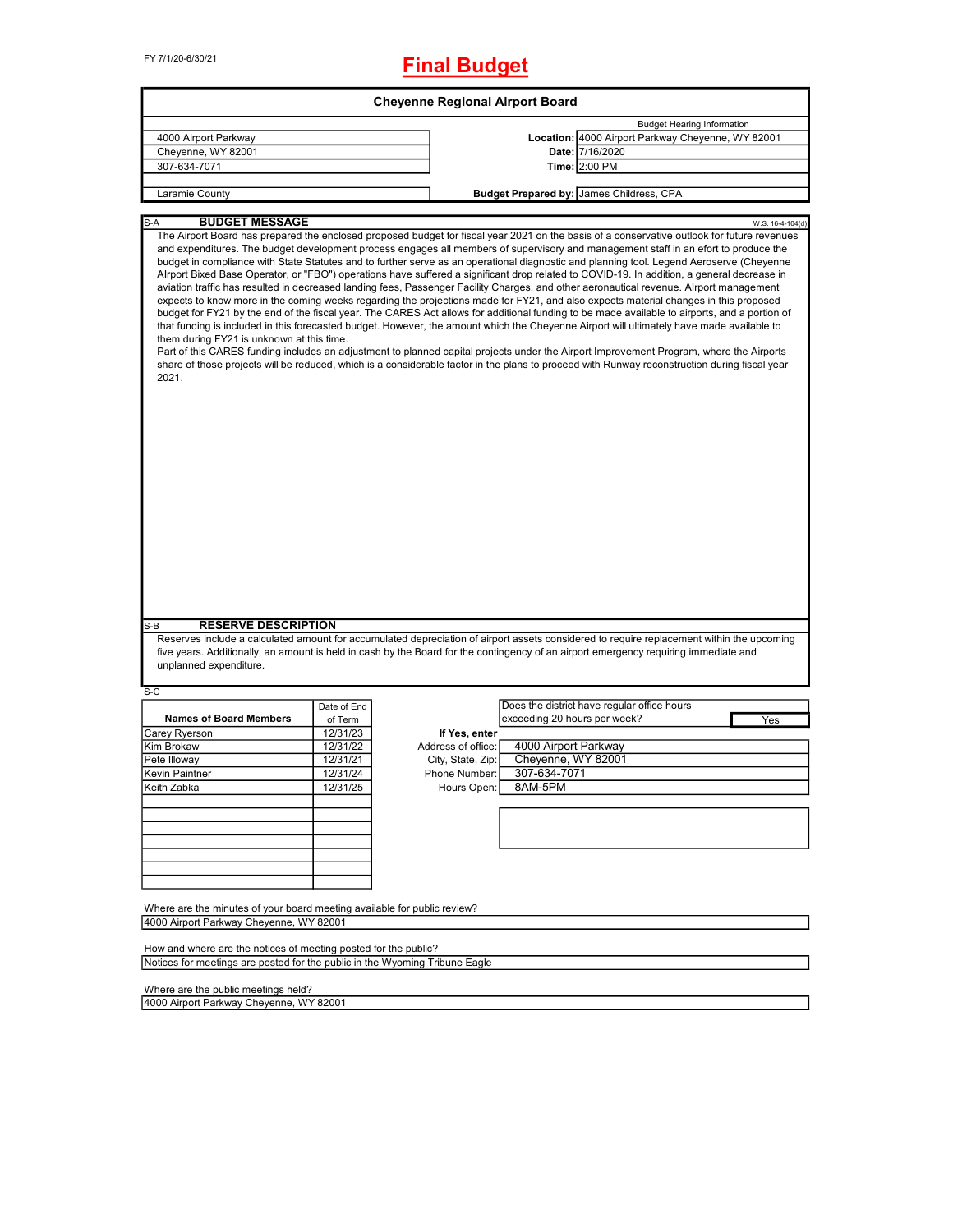# **Final Budget**

| 4000 Airport Parkway                                                                       |             |                    |                                                                                                                                                                                                                                                                                                                                                                                                                                                                                                                                                                                                                                                                                                                                                                                                                                                                                                                                                                                                                                                                                                                                                                                                                                                                                                            |                  |
|--------------------------------------------------------------------------------------------|-------------|--------------------|------------------------------------------------------------------------------------------------------------------------------------------------------------------------------------------------------------------------------------------------------------------------------------------------------------------------------------------------------------------------------------------------------------------------------------------------------------------------------------------------------------------------------------------------------------------------------------------------------------------------------------------------------------------------------------------------------------------------------------------------------------------------------------------------------------------------------------------------------------------------------------------------------------------------------------------------------------------------------------------------------------------------------------------------------------------------------------------------------------------------------------------------------------------------------------------------------------------------------------------------------------------------------------------------------------|------------------|
|                                                                                            |             |                    | <b>Budget Hearing Information</b>                                                                                                                                                                                                                                                                                                                                                                                                                                                                                                                                                                                                                                                                                                                                                                                                                                                                                                                                                                                                                                                                                                                                                                                                                                                                          |                  |
|                                                                                            |             |                    | Location: 4000 Airport Parkway Cheyenne, WY 82001                                                                                                                                                                                                                                                                                                                                                                                                                                                                                                                                                                                                                                                                                                                                                                                                                                                                                                                                                                                                                                                                                                                                                                                                                                                          |                  |
| Cheyenne, WY 82001                                                                         |             |                    | Date: 7/16/2020                                                                                                                                                                                                                                                                                                                                                                                                                                                                                                                                                                                                                                                                                                                                                                                                                                                                                                                                                                                                                                                                                                                                                                                                                                                                                            |                  |
| 307-634-7071                                                                               |             |                    | Time: 2:00 PM                                                                                                                                                                                                                                                                                                                                                                                                                                                                                                                                                                                                                                                                                                                                                                                                                                                                                                                                                                                                                                                                                                                                                                                                                                                                                              |                  |
| Laramie County                                                                             |             |                    | Budget Prepared by: James Childress, CPA                                                                                                                                                                                                                                                                                                                                                                                                                                                                                                                                                                                                                                                                                                                                                                                                                                                                                                                                                                                                                                                                                                                                                                                                                                                                   |                  |
|                                                                                            |             |                    |                                                                                                                                                                                                                                                                                                                                                                                                                                                                                                                                                                                                                                                                                                                                                                                                                                                                                                                                                                                                                                                                                                                                                                                                                                                                                                            |                  |
| <b>BUDGET MESSAGE</b><br>S-A                                                               |             |                    | The Airport Board has prepared the enclosed proposed budget for fiscal year 2021 on the basis of a conservative outlook for future revenues                                                                                                                                                                                                                                                                                                                                                                                                                                                                                                                                                                                                                                                                                                                                                                                                                                                                                                                                                                                                                                                                                                                                                                | W.S. 16-4-104(d) |
| them during FY21 is unknown at this time.<br>2021.                                         |             |                    | and expenditures. The budget development process engages all members of supervisory and management staff in an efort to produce the<br>budget in compliance with State Statutes and to further serve as an operational diagnostic and planning tool. Legend Aeroserve (Cheyenne<br>Alrport Bixed Base Operator, or "FBO") operations have suffered a significant drop related to COVID-19. In addition, a general decrease in<br>aviation traffic has resulted in decreased landing fees, Passenger Facility Charges, and other aeronautical revenue. Alrport management<br>expects to know more in the coming weeks regarding the projections made for FY21, and also expects material changes in this proposed<br>budget for FY21 by the end of the fiscal year. The CARES Act allows for additional funding to be made available to airports, and a portion of<br>that funding is included in this forecasted budget. However, the amount which the Cheyenne Airport will ultimately have made available to<br>Part of this CARES funding includes an adjustment to planned capital projects under the Airport Improvement Program, where the Airports<br>share of those projects will be reduced, which is a considerable factor in the plans to proceed with Runway reconstruction during fiscal year |                  |
|                                                                                            |             |                    |                                                                                                                                                                                                                                                                                                                                                                                                                                                                                                                                                                                                                                                                                                                                                                                                                                                                                                                                                                                                                                                                                                                                                                                                                                                                                                            |                  |
|                                                                                            |             |                    |                                                                                                                                                                                                                                                                                                                                                                                                                                                                                                                                                                                                                                                                                                                                                                                                                                                                                                                                                                                                                                                                                                                                                                                                                                                                                                            |                  |
| <b>RESERVE DESCRIPTION</b><br>unplanned expenditure.                                       |             |                    | Reserves include a calculated amount for accumulated depreciation of airport assets considered to require replacement within the upcoming<br>five years. Additionally, an amount is held in cash by the Board for the contingency of an airport emergency requiring immediate and                                                                                                                                                                                                                                                                                                                                                                                                                                                                                                                                                                                                                                                                                                                                                                                                                                                                                                                                                                                                                          |                  |
|                                                                                            |             |                    |                                                                                                                                                                                                                                                                                                                                                                                                                                                                                                                                                                                                                                                                                                                                                                                                                                                                                                                                                                                                                                                                                                                                                                                                                                                                                                            |                  |
|                                                                                            | Date of End |                    | Does the district have regular office hours                                                                                                                                                                                                                                                                                                                                                                                                                                                                                                                                                                                                                                                                                                                                                                                                                                                                                                                                                                                                                                                                                                                                                                                                                                                                |                  |
| <b>Names of Board Members</b>                                                              | of Term     |                    | exceeding 20 hours per week?                                                                                                                                                                                                                                                                                                                                                                                                                                                                                                                                                                                                                                                                                                                                                                                                                                                                                                                                                                                                                                                                                                                                                                                                                                                                               | Yes              |
|                                                                                            | 12/31/23    | If Yes, enter      |                                                                                                                                                                                                                                                                                                                                                                                                                                                                                                                                                                                                                                                                                                                                                                                                                                                                                                                                                                                                                                                                                                                                                                                                                                                                                                            |                  |
|                                                                                            | 12/31/22    | Address of office: | 4000 Airport Parkway                                                                                                                                                                                                                                                                                                                                                                                                                                                                                                                                                                                                                                                                                                                                                                                                                                                                                                                                                                                                                                                                                                                                                                                                                                                                                       |                  |
|                                                                                            | 12/31/21    | City, State, Zip:  | Cheyenne, WY 82001                                                                                                                                                                                                                                                                                                                                                                                                                                                                                                                                                                                                                                                                                                                                                                                                                                                                                                                                                                                                                                                                                                                                                                                                                                                                                         |                  |
|                                                                                            | 12/31/24    | Phone Number:      | 307-634-7071                                                                                                                                                                                                                                                                                                                                                                                                                                                                                                                                                                                                                                                                                                                                                                                                                                                                                                                                                                                                                                                                                                                                                                                                                                                                                               |                  |
|                                                                                            | 12/31/25    | Hours Open:        | 8AM-5PM                                                                                                                                                                                                                                                                                                                                                                                                                                                                                                                                                                                                                                                                                                                                                                                                                                                                                                                                                                                                                                                                                                                                                                                                                                                                                                    |                  |
|                                                                                            |             |                    |                                                                                                                                                                                                                                                                                                                                                                                                                                                                                                                                                                                                                                                                                                                                                                                                                                                                                                                                                                                                                                                                                                                                                                                                                                                                                                            |                  |
|                                                                                            |             |                    |                                                                                                                                                                                                                                                                                                                                                                                                                                                                                                                                                                                                                                                                                                                                                                                                                                                                                                                                                                                                                                                                                                                                                                                                                                                                                                            |                  |
|                                                                                            |             |                    |                                                                                                                                                                                                                                                                                                                                                                                                                                                                                                                                                                                                                                                                                                                                                                                                                                                                                                                                                                                                                                                                                                                                                                                                                                                                                                            |                  |
|                                                                                            |             |                    |                                                                                                                                                                                                                                                                                                                                                                                                                                                                                                                                                                                                                                                                                                                                                                                                                                                                                                                                                                                                                                                                                                                                                                                                                                                                                                            |                  |
|                                                                                            |             |                    |                                                                                                                                                                                                                                                                                                                                                                                                                                                                                                                                                                                                                                                                                                                                                                                                                                                                                                                                                                                                                                                                                                                                                                                                                                                                                                            |                  |
|                                                                                            |             |                    |                                                                                                                                                                                                                                                                                                                                                                                                                                                                                                                                                                                                                                                                                                                                                                                                                                                                                                                                                                                                                                                                                                                                                                                                                                                                                                            |                  |
| S-B<br>S-C<br>Carey Ryerson<br>Kim Brokaw<br>Pete Illoway<br>Kevin Paintner<br>Keith Zahka |             |                    |                                                                                                                                                                                                                                                                                                                                                                                                                                                                                                                                                                                                                                                                                                                                                                                                                                                                                                                                                                                                                                                                                                                                                                                                                                                                                                            |                  |
| Where are the minutes of your board meeting available for public review?                   |             |                    |                                                                                                                                                                                                                                                                                                                                                                                                                                                                                                                                                                                                                                                                                                                                                                                                                                                                                                                                                                                                                                                                                                                                                                                                                                                                                                            |                  |
| 4000 Airport Parkway Cheyenne, WY 82001                                                    |             |                    |                                                                                                                                                                                                                                                                                                                                                                                                                                                                                                                                                                                                                                                                                                                                                                                                                                                                                                                                                                                                                                                                                                                                                                                                                                                                                                            |                  |
| How and where are the notices of meeting posted for the public?                            |             |                    |                                                                                                                                                                                                                                                                                                                                                                                                                                                                                                                                                                                                                                                                                                                                                                                                                                                                                                                                                                                                                                                                                                                                                                                                                                                                                                            |                  |

Where are the public meetings held?

4000 Airport Parkway Cheyenne, WY 82001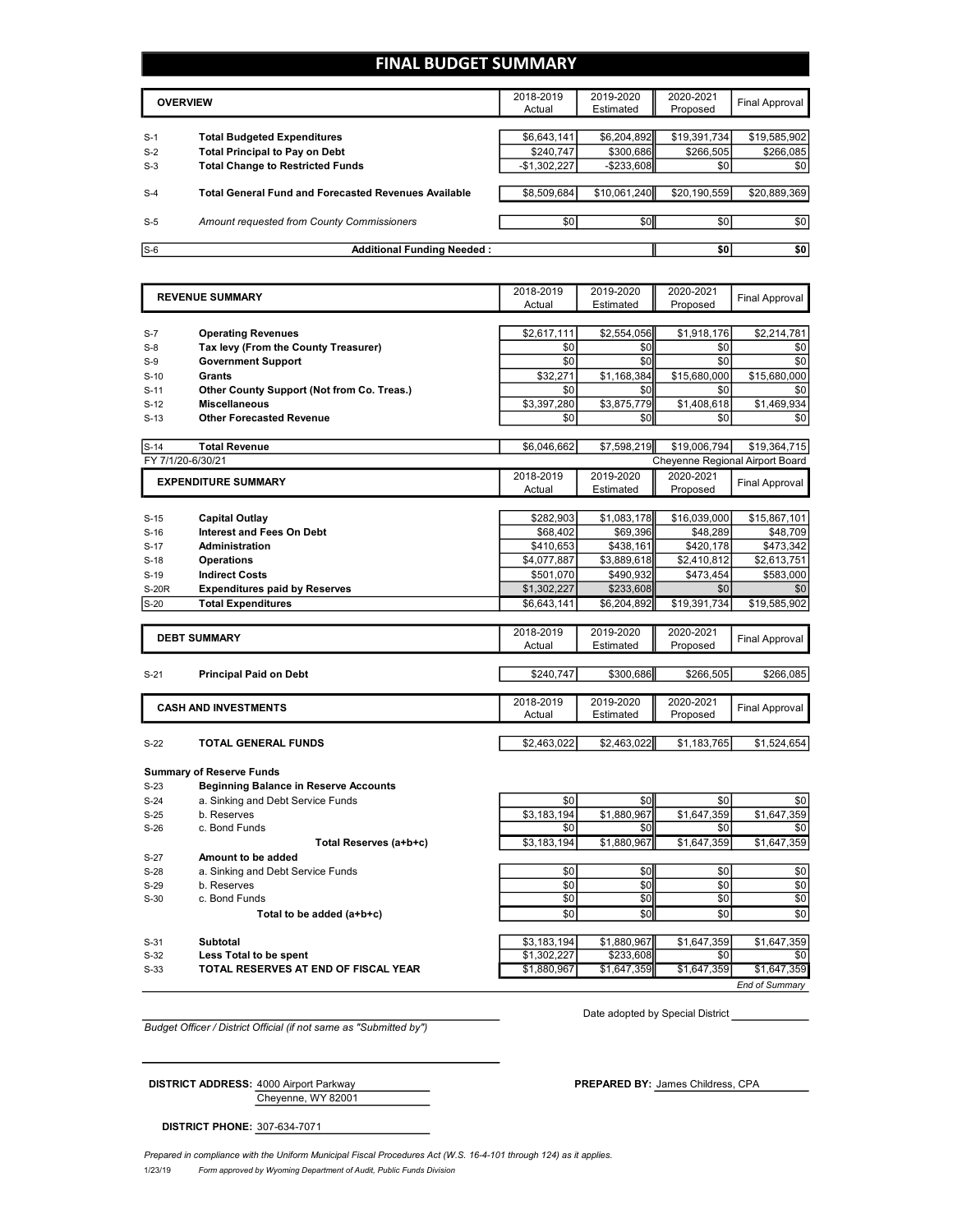#### **FINAL BUDGET SUMMARY**

|       | <b>OVERVIEW</b>                                             | 2018-2019<br>Actual | 2019-2020<br>Estimated | 2020-2021<br>Proposed | Final Approval |
|-------|-------------------------------------------------------------|---------------------|------------------------|-----------------------|----------------|
|       |                                                             |                     |                        |                       |                |
| $S-1$ | <b>Total Budgeted Expenditures</b>                          | \$6,643,141         | \$6,204,892            | \$19,391,734          | \$19,585,902   |
| $S-2$ | <b>Total Principal to Pay on Debt</b>                       | \$240.747           | \$300,686              | \$266,505             | \$266,085      |
| $S-3$ | <b>Total Change to Restricted Funds</b>                     | $-$1,302,227$       | $-$ \$233,608          | \$0 <sub>1</sub>      | \$0            |
|       |                                                             |                     |                        |                       |                |
| $S-4$ | <b>Total General Fund and Forecasted Revenues Available</b> | \$8,509,684         | \$10,061,240           | \$20,190,559          | \$20,889,369   |
|       |                                                             |                     |                        |                       |                |
| $S-5$ | Amount requested from County Commissioners                  | \$0                 | \$0 <sub>1</sub>       | \$0 <sub>1</sub>      | \$0            |
|       |                                                             |                     |                        |                       |                |
| $S-6$ | <b>Additional Funding Needed:</b>                           |                     |                        | \$0                   | \$0            |

|                   | <b>REVENUE SUMMARY</b>                       | 2018-2019   | 2019-2020   | 2020-2021    | <b>Final Approval</b>           |
|-------------------|----------------------------------------------|-------------|-------------|--------------|---------------------------------|
|                   |                                              | Actual      | Estimated   | Proposed     |                                 |
|                   |                                              |             |             |              |                                 |
| $S-7$             | <b>Operating Revenues</b>                    | \$2,617,111 | \$2,554,056 | \$1,918,176  | \$2,214,781                     |
| $S-8$             | Tax levy (From the County Treasurer)         | \$0         | \$0         | \$0          | \$0                             |
| $S-9$             | <b>Government Support</b>                    | \$0         | \$0         | \$0          | \$0                             |
| $S-10$            | Grants                                       | \$32,271    | \$1,168,384 | \$15,680,000 | \$15,680,000                    |
| $S-11$            | Other County Support (Not from Co. Treas.)   | \$0         | \$0         | \$0          | \$0                             |
| $S-12$            | <b>Miscellaneous</b>                         | \$3,397,280 | \$3,875,779 | \$1,408,618  | \$1,469,934                     |
| $S-13$            | <b>Other Forecasted Revenue</b>              | \$0         | \$0         | \$0          | \$0                             |
|                   |                                              |             |             |              |                                 |
| $S-14$            | <b>Total Revenue</b>                         | \$6,046,662 | \$7,598,219 | \$19,006,794 | \$19,364,715                    |
| FY 7/1/20-6/30/21 |                                              |             |             |              | Cheyenne Regional Airport Board |
|                   | <b>EXPENDITURE SUMMARY</b>                   | 2018-2019   | 2019-2020   | 2020-2021    | <b>Final Approval</b>           |
|                   |                                              | Actual      | Estimated   | Proposed     |                                 |
|                   |                                              |             |             |              |                                 |
| $S-15$            | Capital Outlay                               | \$282,903   | \$1,083,178 | \$16,039,000 | \$15,867,101                    |
| $S-16$            | <b>Interest and Fees On Debt</b>             | \$68,402    | \$69,396    | \$48,289     | \$48,709                        |
| $S-17$            | <b>Administration</b>                        | \$410,653   | \$438,161   | \$420,178    | \$473,342                       |
| $S-18$            | Operations                                   | \$4,077,887 | \$3,889,618 | \$2,410,812  | \$2,613,751                     |
| $S-19$            | <b>Indirect Costs</b>                        | \$501,070   | \$490,932   | \$473,454    | \$583,000                       |
| <b>S-20R</b>      | <b>Expenditures paid by Reserves</b>         | \$1,302,227 | \$233,608   | \$0          | \$0                             |
| $S-20$            | <b>Total Expenditures</b>                    | \$6,643,141 | \$6,204,892 | \$19,391,734 | \$19,585,902                    |
|                   |                                              |             |             |              |                                 |
|                   | <b>DEBT SUMMARY</b>                          | 2018-2019   | 2019-2020   | 2020-2021    |                                 |
|                   |                                              | Actual      | Estimated   | Proposed     | <b>Final Approval</b>           |
|                   |                                              |             |             |              |                                 |
| $S-21$            | <b>Principal Paid on Debt</b>                | \$240,747   | \$300,686   | \$266.505    | \$266,085                       |
|                   |                                              |             |             |              |                                 |
|                   | <b>CASH AND INVESTMENTS</b>                  | 2018-2019   | 2019-2020   | 2020-2021    | Final Approval                  |
|                   |                                              | Actual      | Estimated   | Proposed     |                                 |
|                   |                                              |             |             |              |                                 |
| $S-22$            | TOTAL GENERAL FUNDS                          | \$2,463,022 | \$2,463,022 | \$1,183,765  | \$1,524,654                     |
|                   |                                              |             |             |              |                                 |
|                   | <b>Summary of Reserve Funds</b>              |             |             |              |                                 |
| $S-23$            | <b>Beginning Balance in Reserve Accounts</b> |             |             |              |                                 |
| $S-24$            | a. Sinking and Debt Service Funds            | \$0         | \$0         | \$0          | \$0                             |
| $S-25$            | b. Reserves                                  | \$3,183,194 | \$1,880,967 | \$1,647,359  | \$1,647,359                     |
| $S-26$            | c. Bond Funds                                | \$0         | \$0         | \$0          | \$0                             |
|                   | Total Reserves (a+b+c)                       | \$3,183,194 | \$1.880.967 | \$1,647,359  | \$1,647,359                     |
| $S-27$            | Amount to be added                           |             |             |              |                                 |
| $S-28$            | a. Sinking and Debt Service Funds            | \$0         | \$0         | \$0          | \$0                             |
| $S-29$            | b. Reserves                                  | \$0         | \$0         | \$0          | \$0                             |
| $S-30$            | c. Bond Funds                                | \$0         | \$0         | \$0          | \$0                             |
|                   | Total to be added (a+b+c)                    | \$0         | \$0         | \$0          | \$0                             |
|                   |                                              |             |             |              |                                 |

S-31 **Subtotal** \$3,183,194 \$1,880,967 \$1,647,359 \$1,647,359

S-32 **Less Total to be spent** \$1,302,227 \$233,608 \$0 \$0 S-33 **TOTAL RESERVES AT END OF FISCAL YEAR** \$1,880,967 \$1,647,359 \$1,647,359 \$1,647,359

Date adopted by Special District

*End of Summary*

*Budget Officer / District Official (if not same as "Submitted by")*

Cheyenne, WY 82001

**DISTRICT ADDRESS:** 4000 Airport Parkway **PREPARED BY: James Childress, CPA** 

**DISTRICT PHONE:** 307-634-7071

1/23/19 *Form approved by Wyoming Department of Audit, Public Funds Division Prepared in compliance with the Uniform Municipal Fiscal Procedures Act (W.S. 16-4-101 through 124) as it applies.*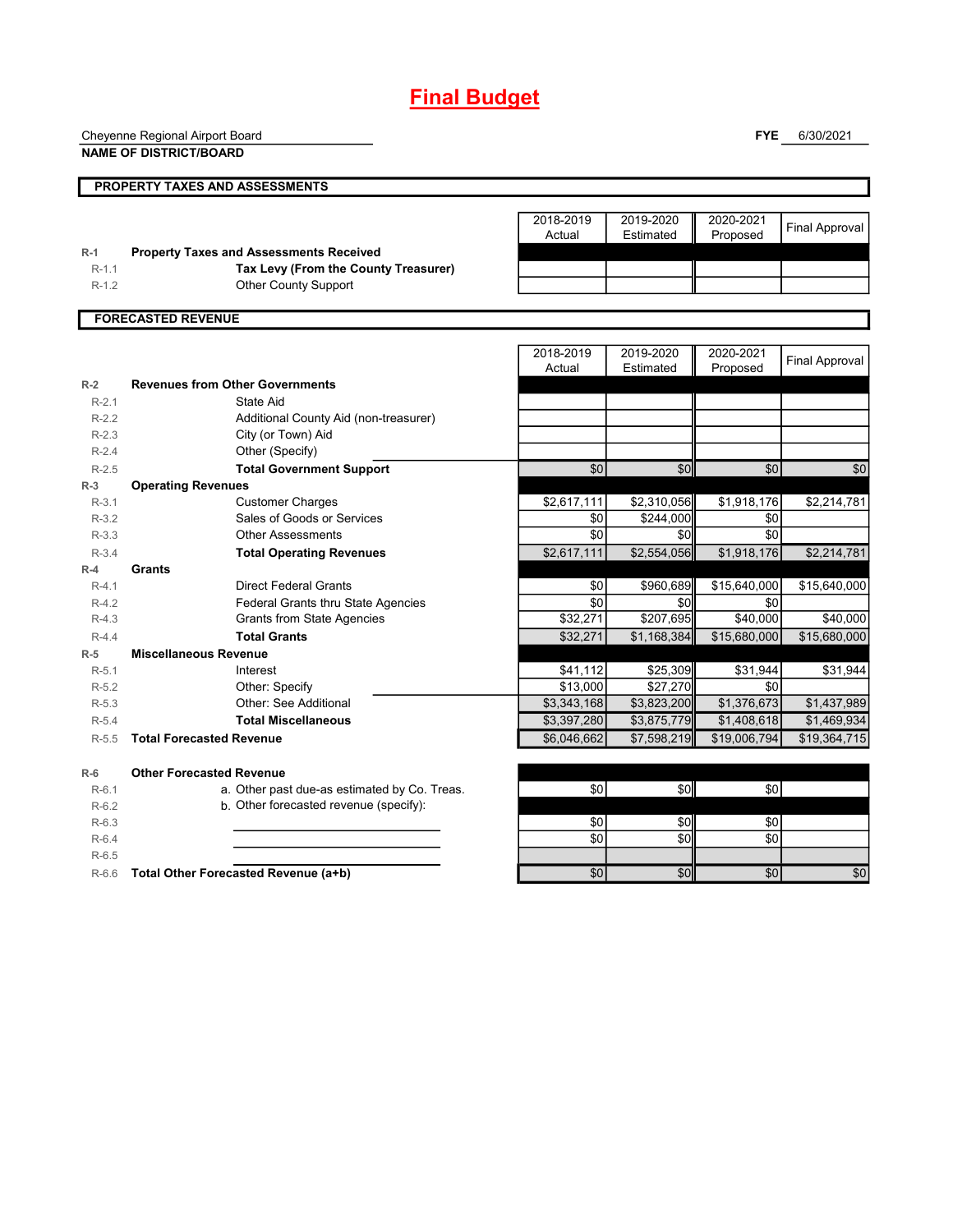## **Final Budget**

Cheyenne Regional Airport Board

**NAME OF DISTRICT/BOARD**

**FYE** 6/30/2021

|         | <b>PROPERTY TAXES AND ASSESSMENTS</b>          |                     |                        |                       |                       |
|---------|------------------------------------------------|---------------------|------------------------|-----------------------|-----------------------|
| $R-1$   | <b>Property Taxes and Assessments Received</b> | 2018-2019<br>Actual | 2019-2020<br>Estimated | 2020-2021<br>Proposed | <b>Final Approval</b> |
| $R-1.1$ | Tax Levy (From the County Treasurer)           |                     |                        |                       |                       |
| $R-1.2$ | <b>Other County Support</b>                    |                     |                        |                       |                       |
|         |                                                |                     |                        |                       |                       |
|         | <b>FORECASTED REVENUE</b>                      |                     |                        |                       |                       |
|         |                                                | 2018-2019<br>Actual | 2019-2020<br>Estimated | 2020-2021<br>Proposed | <b>Final Approval</b> |
| $R-2$   | <b>Revenues from Other Governments</b>         |                     |                        |                       |                       |
| $R-2.1$ | State Aid                                      |                     |                        |                       |                       |
| $R-2.2$ | Additional County Aid (non-treasurer)          |                     |                        |                       |                       |
| $R-2.3$ | City (or Town) Aid                             |                     |                        |                       |                       |
| $R-2.4$ | Other (Specify)                                |                     |                        |                       |                       |
| $R-2.5$ | <b>Total Government Support</b>                | \$0                 | \$0                    | \$0                   | \$0                   |
| $R-3$   | <b>Operating Revenues</b>                      |                     |                        |                       |                       |
| $R-3.1$ | <b>Customer Charges</b>                        | \$2,617,111         | \$2,310,056            | \$1,918,176           | \$2,214,781           |
| $R-3.2$ | Sales of Goods or Services                     | \$0                 | \$244,000              | \$0                   |                       |
| $R-3.3$ | <b>Other Assessments</b>                       | \$0                 | \$0                    | \$0                   |                       |
| $R-3.4$ | <b>Total Operating Revenues</b>                | \$2,617,111         | \$2,554,056            | \$1,918,176           | \$2,214,781           |
| $R-4$   | Grants                                         |                     |                        |                       |                       |
| $R-4.1$ | <b>Direct Federal Grants</b>                   | \$0                 | \$960.689              | \$15,640,000          | \$15,640,000          |
| $R-4.2$ | <b>Federal Grants thru State Agencies</b>      | \$0                 | \$0                    | \$0                   |                       |
| $R-4.3$ | <b>Grants from State Agencies</b>              | \$32,271            | $\overline{$}207,695$  | \$40,000              | \$40,000              |
| $R-4.4$ | <b>Total Grants</b>                            | \$32,271            | \$1,168,384            | \$15,680,000          | \$15,680,000          |
| $R-5$   | <b>Miscellaneous Revenue</b>                   |                     |                        |                       |                       |
| $R-5.1$ | Interest                                       | \$41,112            | \$25,309               | \$31,944              | \$31,944              |
| $R-5.2$ | Other: Specify                                 | \$13,000            | \$27,270               | \$0                   |                       |
| $R-5.3$ | Other: See Additional                          | \$3,343,168         | \$3,823,200            | \$1,376,673           | \$1,437,989           |
| $R-5.4$ | <b>Total Miscellaneous</b>                     | \$3,397,280         | \$3,875,779            | \$1,408,618           | \$1,469,934           |
| $R-5.5$ | <b>Total Forecasted Revenue</b>                | \$6.046.662         | \$7,598,219            | \$19,006,794          | \$19,364,715          |

**R-6 Other Forecasted Revenue** R-6.1 a. Other past due-as estimated by Co. Treas. \$0 \$0 \$0 R-6.2 b. Other forecasted revenue (specify):

R-6.4 \$0 \$0 \$0 R-6.5

R-6.3 \$0 \$0 \$0 R-6.6 **Total Other Forecasted Revenue (a+b)** \$0 \$0 \$0 \$0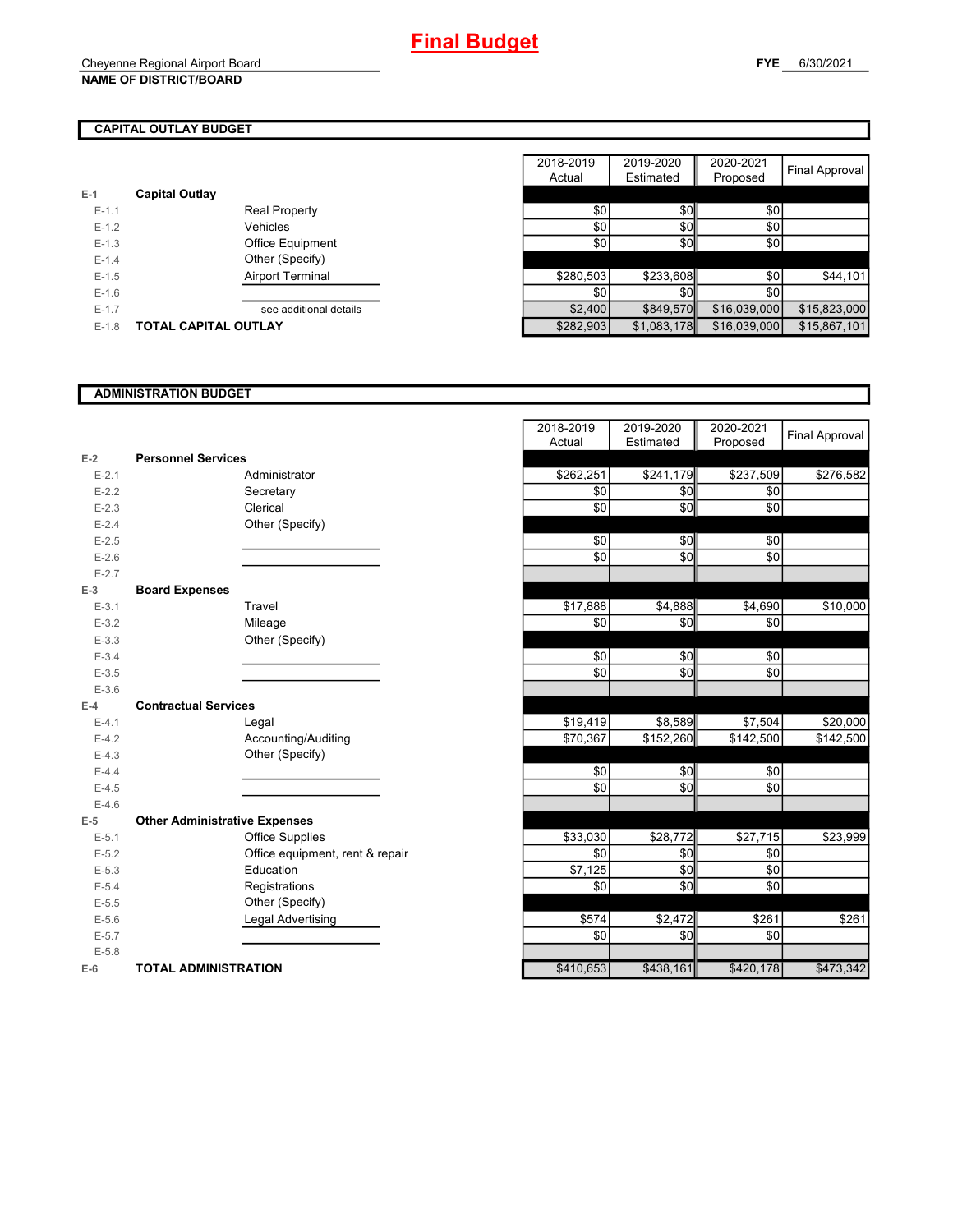|           |                             |           |             | .            |
|-----------|-----------------------------|-----------|-------------|--------------|
| $E-1$     | <b>Capital Outlay</b>       |           |             |              |
| $E-1.1$   | <b>Real Property</b>        | \$0       | <b>\$0</b>  | \$0          |
| $E-1.2$   | Vehicles                    | \$0       | \$0         | \$0          |
| $E-1.3$   | Office Equipment            | \$0       | \$0         | \$0          |
| $E - 1.4$ | Other (Specify)             |           |             |              |
| $E-1.5$   | Airport Terminal            | \$280,503 | \$233,608   | \$0          |
| $E-1.6$   |                             | \$0       | \$0I        | \$0          |
| $E-1.7$   | see additional details      | \$2,400   | \$849.570   | \$16,039,000 |
| $E-1.8$   | <b>TOTAL CAPITAL OUTLAY</b> | \$282.903 | \$1,083,178 | \$16,039,000 |

|           |                             | 2018-2019 | 2019-2020   | 2020-2021    |                |
|-----------|-----------------------------|-----------|-------------|--------------|----------------|
|           |                             | Actual    | Estimated   | Proposed     | Final Approval |
|           | <b>Capital Outlay</b>       |           |             |              |                |
| $E-1.1$   | <b>Real Property</b>        | \$0       | \$0         | \$0          |                |
| $E-1.2$   | Vehicles                    | \$0       | \$0         | \$0          |                |
| $E-1.3$   | Office Equipment            | \$0       | \$0         | \$0          |                |
| $E-1.4$   | Other (Specify)             |           |             |              |                |
| $E-1.5$   | Airport Terminal            | \$280,503 | \$233.608   | \$0          | \$44,101       |
| $E-1.6$   |                             | \$0       | \$0         | \$0          |                |
| $E - 1.7$ | see additional details      | \$2,400   | \$849,570   | \$16,039,000 | \$15,823,000   |
| $E-1.8$   | <b>TOTAL CAPITAL OUTLAY</b> | \$282,903 | \$1,083,178 | \$16,039,000 | \$15,867,101   |

#### **ADMINISTRATION BUDGET**

|           |                                      |                                 | Actual    | Estimated | Proposed  |
|-----------|--------------------------------------|---------------------------------|-----------|-----------|-----------|
| $E-2$     | <b>Personnel Services</b>            |                                 |           |           |           |
| $E - 2.1$ |                                      | Administrator                   | \$262,251 | \$241,179 | \$237,509 |
| $E-2.2$   |                                      | Secretary                       | \$0       | \$0       | \$0       |
| $E-2.3$   |                                      | Clerical                        | \$0       | \$0       | \$0       |
| $E-2.4$   |                                      | Other (Specify)                 |           |           |           |
| $E-2.5$   |                                      |                                 | \$0       | \$0       | \$0       |
| $E - 2.6$ |                                      |                                 | \$0       | \$0       | \$0       |
| $E - 2.7$ |                                      |                                 |           |           |           |
| $E-3$     | <b>Board Expenses</b>                |                                 |           |           |           |
| $E - 3.1$ |                                      | Travel                          | \$17,888  | \$4,888   | \$4,690   |
| $E - 3.2$ |                                      | Mileage                         | \$0       | \$0       | \$0       |
| $E-3.3$   |                                      | Other (Specify)                 |           |           |           |
| $E - 3.4$ |                                      |                                 | \$0       | \$0       | \$0       |
| $E-3.5$   |                                      |                                 | \$0       | \$0       | \$0       |
| $E - 3.6$ |                                      |                                 |           |           |           |
| $E-4$     | <b>Contractual Services</b>          |                                 |           |           |           |
| $E - 4.1$ |                                      | Legal                           | \$19,419  | \$8,589   | \$7,504   |
| $E-4.2$   |                                      | Accounting/Auditing             | \$70,367  | \$152,260 | \$142,500 |
| $E-4.3$   |                                      | Other (Specify)                 |           |           |           |
| $E-4.4$   |                                      |                                 | \$0       | \$0       | \$0       |
| $E-4.5$   |                                      |                                 | \$0       | \$0       | \$0       |
| $E-4.6$   |                                      |                                 |           |           |           |
| $E-5$     | <b>Other Administrative Expenses</b> |                                 |           |           |           |
| $E - 5.1$ |                                      | Office Supplies                 | \$33,030  | \$28,772  | \$27,715  |
| $E-5.2$   |                                      | Office equipment, rent & repair | \$0       | \$0       | \$0       |
| $E-5.3$   |                                      | Education                       | \$7,125   | \$0       | \$0       |
| $E-5.4$   |                                      | Registrations                   | \$0       | \$0       | \$0       |
| $E-5.5$   |                                      | Other (Specify)                 |           |           |           |
| $E - 5.6$ |                                      | <b>Legal Advertising</b>        | \$574     | \$2,472   | \$261     |
| $E - 5.7$ |                                      |                                 | \$0       | \$0       | \$0       |
| $E - 5.8$ |                                      |                                 |           |           |           |
| $E-6$     | <b>TOTAL ADMINISTRATION</b>          |                                 | \$410,653 | \$438,161 | \$420,178 |

|                          |                                      | 2018-2019 | 2019-2020 | 2020-2021 | <b>Final Approval</b> |
|--------------------------|--------------------------------------|-----------|-----------|-----------|-----------------------|
|                          |                                      | Actual    | Estimated | Proposed  |                       |
| Ż                        | <b>Personnel Services</b>            |           |           |           |                       |
| $E - 2.1$                | Administrator                        | \$262,251 | \$241,179 | \$237,509 | \$276,582             |
| $E - 2.2$                | Secretary                            | \$0       | \$0       | \$0       |                       |
| $E - 2.3$                | Clerical                             | \$0       | \$0       | \$0       |                       |
| $E - 2.4$                | Other (Specify)                      |           |           |           |                       |
| $E-2.5$                  |                                      | \$0       | \$0       | \$0       |                       |
| $E - 2.6$                |                                      | \$0       | \$0       | \$0       |                       |
| $E - 2.7$                |                                      |           |           |           |                       |
| $\overline{\phantom{0}}$ | <b>Board Expenses</b>                |           |           |           |                       |
| $E - 3.1$                | Travel                               | \$17,888  | \$4,888   | \$4,690   | \$10,000              |
| $E - 3.2$                | Mileage                              | \$0       | \$0       | \$0       |                       |
| $E - 3.3$                | Other (Specify)                      |           |           |           |                       |
| $E - 3.4$                |                                      | \$0       | \$0       | \$0       |                       |
| $E - 3.5$                |                                      | \$0       | \$0       | \$0       |                       |
| $E - 3.6$                |                                      |           |           |           |                       |
| Ļ.                       | <b>Contractual Services</b>          |           |           |           |                       |
| $E - 4.1$                | Legal                                | \$19,419  | \$8,589   | \$7,504   | \$20,000              |
| $E - 4.2$                | Accounting/Auditing                  | \$70,367  | \$152,260 | \$142,500 | \$142,500             |
| $E - 4.3$                | Other (Specify)                      |           |           |           |                       |
| $E - 4.4$                |                                      | \$0       | \$0       | \$0       |                       |
| $E-4.5$                  |                                      | \$0       | \$0       | \$0       |                       |
| $E - 4.6$                |                                      |           |           |           |                       |
| $\overline{\phantom{a}}$ | <b>Other Administrative Expenses</b> |           |           |           |                       |
| $E - 5.1$                | <b>Office Supplies</b>               | \$33,030  | \$28,772  | \$27,715  | \$23,999              |
| $E - 5.2$                | Office equipment, rent & repair      | \$0       | \$0       | \$0       |                       |
| $E - 5.3$                | Education                            | \$7,125   | \$0       | \$0       |                       |
| $E - 5.4$                | Registrations                        | \$0       | \$0       | \$0       |                       |
| $E - 5.5$                | Other (Specify)                      |           |           |           |                       |
| $E - 5.6$                | Legal Advertising                    | \$574     | \$2,472   | \$261     | \$261                 |
| $E - 5.7$                |                                      | \$0       | \$0       | \$0       |                       |
| $E - 5.8$                |                                      |           |           |           |                       |
| ŝ                        | <b>TOTAL ADMINISTRATION</b>          | \$410,653 | \$438,161 | \$420,178 | \$473,342             |
|                          |                                      |           |           |           |                       |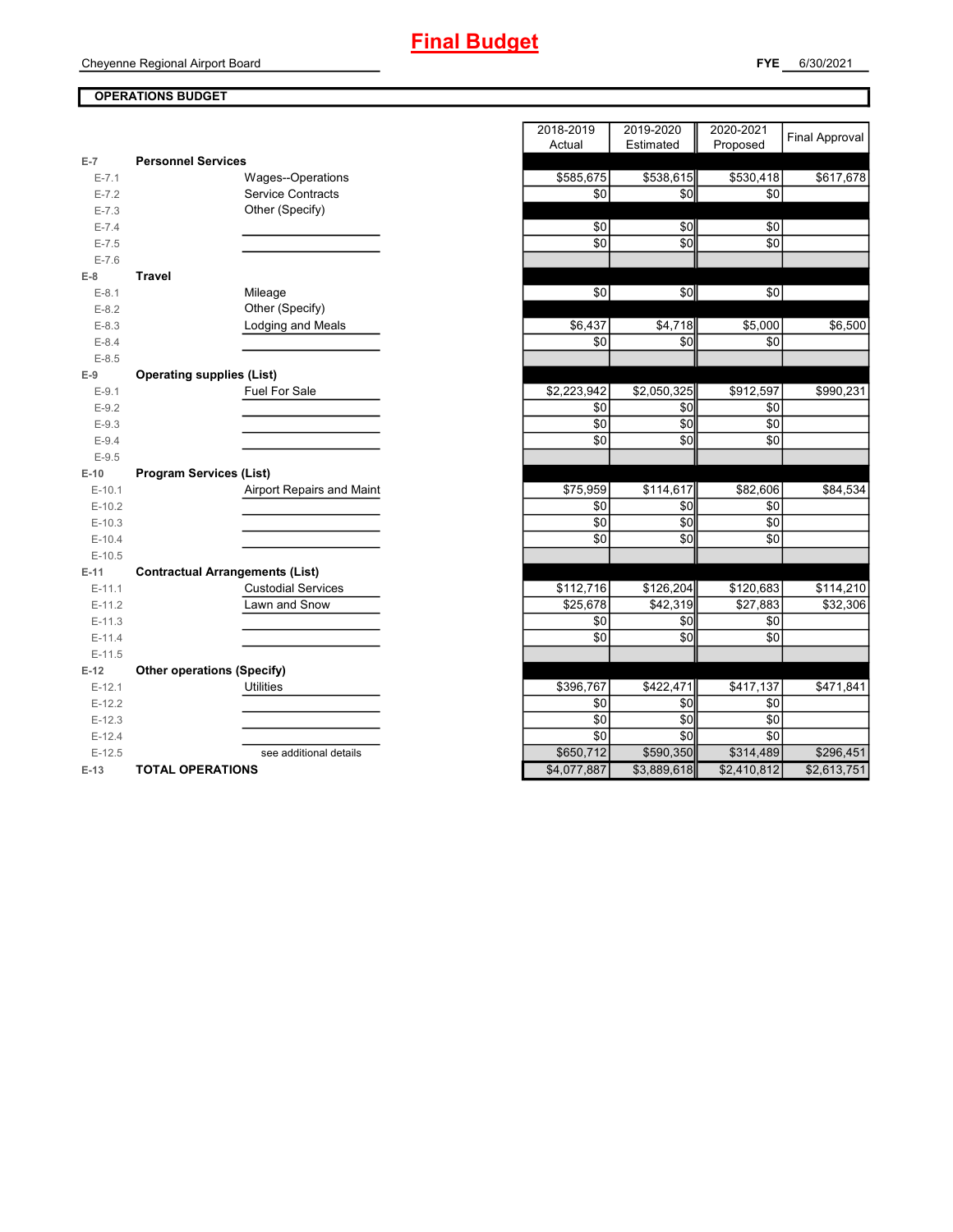#### **OPERATIONS BUDGET**

|           |                                        | nuuai       | Lournated <b>I</b> | <b>THOPOSE</b> U |
|-----------|----------------------------------------|-------------|--------------------|------------------|
| $E-7$     | <b>Personnel Services</b>              |             |                    |                  |
| $E - 7.1$ | Wages--Operations                      | \$585,675   | \$538,615          | \$530,418        |
| $E - 7.2$ | <b>Service Contracts</b>               | \$0         | \$0                | \$0              |
| $E - 7.3$ | Other (Specify)                        |             |                    |                  |
| $E - 7.4$ |                                        | \$0         | \$0                | \$0              |
| $E - 7.5$ |                                        | \$0         | \$0                | \$0              |
| $E - 7.6$ |                                        |             |                    |                  |
| $E-8$     | <b>Travel</b>                          |             |                    |                  |
| $E-8.1$   | Mileage                                | \$0         | \$0                | \$0              |
| $E-8.2$   | Other (Specify)                        |             |                    |                  |
| $E - 8.3$ | <b>Lodging and Meals</b>               | \$6,437     | \$4,718            | \$5,000          |
| $E - 8.4$ |                                        | \$0         | \$0                | \$0              |
| $E-8.5$   |                                        |             |                    |                  |
| $E-9$     | <b>Operating supplies (List)</b>       |             |                    |                  |
| $E - 9.1$ | Fuel For Sale                          | \$2,223,942 | \$2,050,325        | \$912,597        |
| $E - 9.2$ |                                        | \$0         | \$0                | \$0              |
| $E-9.3$   |                                        | \$0         | \$0                | \$0              |
| $E - 9.4$ |                                        | \$0         | \$0                | \$0              |
| $E-9.5$   |                                        |             |                    |                  |
| $E-10$    | <b>Program Services (List)</b>         |             |                    |                  |
| $E-10.1$  | Airport Repairs and Maint              | \$75,959    | \$114,617          | \$82,606         |
| $E-10.2$  |                                        | \$0         | \$0                | \$0              |
| $E-10.3$  |                                        | \$0         | \$0                | \$0              |
| $E-10.4$  |                                        | \$0         | \$0                | \$0              |
| $E-10.5$  |                                        |             |                    |                  |
| $E-11$    | <b>Contractual Arrangements (List)</b> |             |                    |                  |
| $E-11.1$  | <b>Custodial Services</b>              | \$112,716   | \$126,204          | \$120,683        |
| $E-11.2$  | Lawn and Snow                          | \$25,678    | \$42,319           | \$27,883         |
| $E-11.3$  |                                        | \$0         | \$0                | \$0              |
| $E-11.4$  |                                        | \$0         | \$0                | \$0              |
| $E-11.5$  |                                        |             |                    |                  |
| $E-12$    | <b>Other operations (Specify)</b>      |             |                    |                  |
| $E-12.1$  | <b>Utilities</b>                       | \$396,767   | \$422,471          | \$417,137        |
| $E-12.2$  |                                        | \$0         | \$0                | \$0              |
| $E-12.3$  |                                        | \$0         | \$0                | \$0              |
| $E-12.4$  |                                        | \$0         | \$0                | \$0              |
| $E-12.5$  | see additional details                 | \$650,712   | \$590,350          | \$314,489        |
| $E-13$    | <b>TOTAL OPERATIONS</b>                | \$4,077,887 | \$3,889,618        | \$2,410,812      |

|                  |                                                   | 2018-2019<br>2019-2020<br>2020-2021                   | <b>Final Approval</b> |
|------------------|---------------------------------------------------|-------------------------------------------------------|-----------------------|
|                  |                                                   | Estimated<br>Proposed<br>Actual                       |                       |
| $\overline{7}$   | <b>Personnel Services</b>                         |                                                       |                       |
| $E - 7.1$        | Wages--Operations                                 | \$585,675<br>\$538,615<br>\$530,418                   | \$617,678             |
| $E - 7.2$        | <b>Service Contracts</b>                          | \$0<br>\$0<br>\$0                                     |                       |
| $E - 7.3$        | Other (Specify)                                   |                                                       |                       |
| $E - 7.4$        |                                                   | \$0<br>\$0<br>\$0                                     |                       |
| $E - 7.5$        |                                                   | \$0<br>\$0<br>\$0                                     |                       |
| $E - 7.6$        |                                                   |                                                       |                       |
| 8                | <b>Travel</b>                                     |                                                       |                       |
| $E-8.1$          | Mileage                                           | \$0<br>\$0<br>\$0                                     |                       |
| $E-8.2$          | Other (Specify)                                   |                                                       |                       |
| $E-8.3$          | Lodging and Meals                                 | \$6,437<br>\$4,718<br>\$5,000                         | \$6,500               |
| $E - 8.4$        |                                                   | \$0<br>\$0<br>\$0                                     |                       |
| $E-8.5$          |                                                   |                                                       |                       |
| 9                | <b>Operating supplies (List)</b><br>Fuel For Sale | \$2,223,942<br>\$2,050,325<br>\$912,597               | \$990,231             |
| $E-9.1$          |                                                   |                                                       |                       |
| $E-9.2$          |                                                   | \$0<br>\$0<br>\$0<br>\$0<br>\$0<br>\$0                |                       |
| $E-9.3$          |                                                   | \$0<br>\$0<br>\$0                                     |                       |
| $E-9.4$          |                                                   |                                                       |                       |
| $E-9.5$<br>$-10$ | <b>Program Services (List)</b>                    |                                                       |                       |
| $E-10.1$         | Airport Repairs and Maint                         | \$75,959<br>\$114,617<br>\$82,606                     | \$84,534              |
| $E-10.2$         |                                                   | \$0<br>\$0<br>\$0                                     |                       |
| $E-10.3$         |                                                   | \$0<br>\$0<br>\$0                                     |                       |
| $E-10.4$         |                                                   | \$0<br>\$0<br>\$0                                     |                       |
| $E-10.5$         |                                                   |                                                       |                       |
| -11              | <b>Contractual Arrangements (List)</b>            |                                                       |                       |
| $E-11.1$         | <b>Custodial Services</b>                         | \$112,716<br>\$126,204<br>\$120,683                   | \$114,210             |
| $E-11.2$         | Lawn and Snow                                     | \$25,678<br>\$42,319<br>\$27,883                      | \$32,306              |
| $E-11.3$         |                                                   | \$0<br>\$0<br>\$0                                     |                       |
| $E-11.4$         |                                                   | \$0<br>\$0<br>\$0                                     |                       |
| $E-11.5$         |                                                   |                                                       |                       |
| 12               | <b>Other operations (Specify)</b>                 |                                                       |                       |
| $E-12.1$         | <b>Utilities</b>                                  | \$396,767<br>\$422,471<br>\$417,137                   | \$471,841             |
| $E-12.2$         |                                                   | \$0<br>\$0<br>\$0                                     |                       |
| $E-12.3$         |                                                   | \$0<br>\$0<br>\$0                                     |                       |
| $E-12.4$         |                                                   | \$0<br>\$0<br>\$0                                     |                       |
| $E-12.5$         | see additional details                            | \$590,350<br>\$650,712<br>\$314,489                   | \$296,451             |
| $-13$            | <b>TOTAL OPERATIONS</b>                           | \$4,077,887<br>\$3,889,618<br>$\overline{$2,410,812}$ | \$2,613,751           |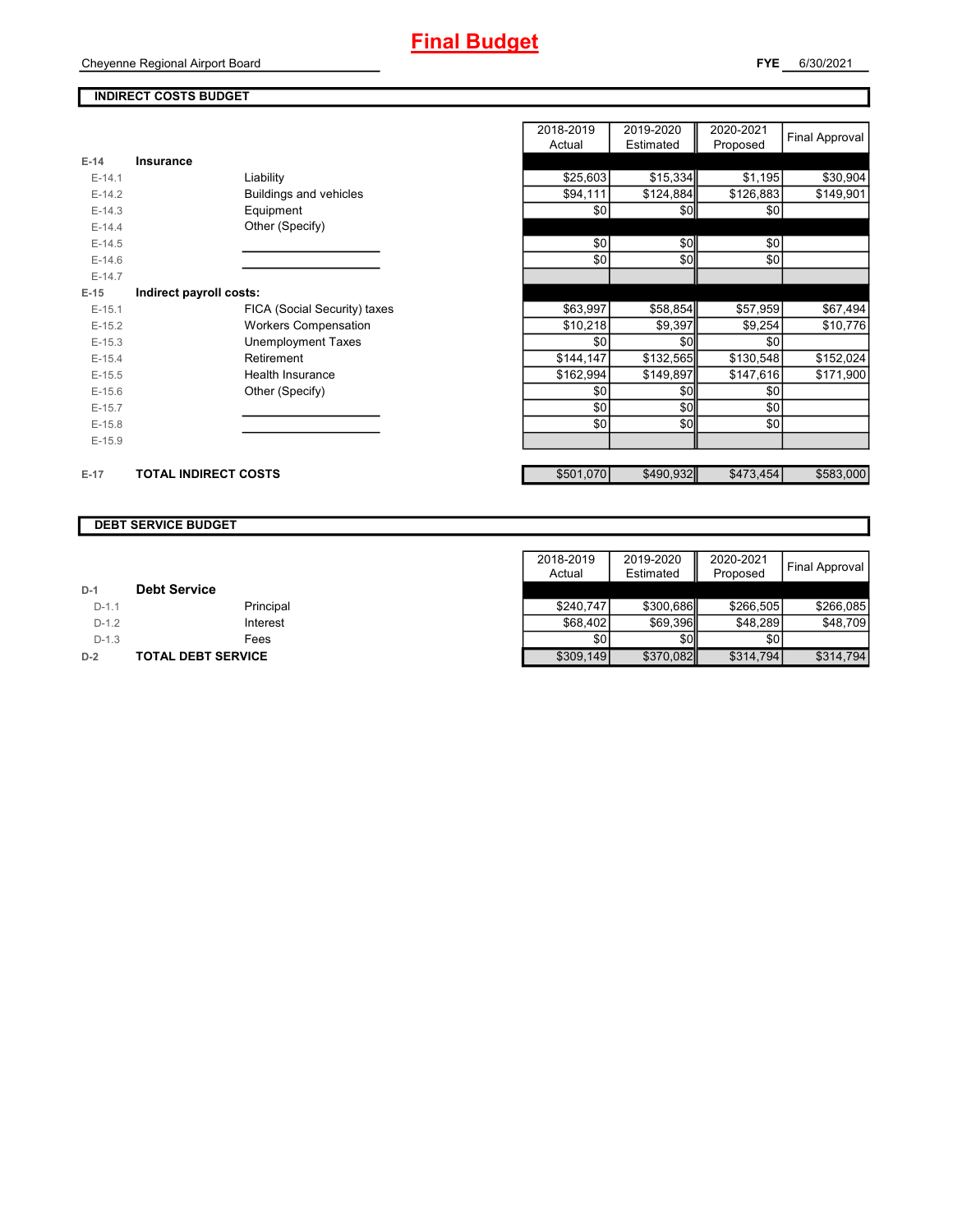#### **INDIRECT COSTS BUDGET**

|          |                             |                              | 2018-2019<br>Actual | 2019-2020<br>Estimated | 2020-2021<br>Proposed | <b>Final Approval</b> |
|----------|-----------------------------|------------------------------|---------------------|------------------------|-----------------------|-----------------------|
| $E-14$   | Insurance                   |                              |                     |                        |                       |                       |
| $E-14.1$ |                             | Liability                    | \$25,603            | \$15,334               | \$1,195               | \$30,904              |
| $E-14.2$ |                             | Buildings and vehicles       | \$94,111            | \$124,884              | \$126,883             | \$149,901             |
| $E-14.3$ |                             | Equipment                    | \$0                 | \$0                    | \$0                   |                       |
| $E-14.4$ |                             | Other (Specify)              |                     |                        |                       |                       |
| $E-14.5$ |                             |                              | \$0                 | \$0                    | \$0                   |                       |
| $E-14.6$ |                             |                              | \$0                 | \$0                    | \$0                   |                       |
| $E-14.7$ |                             |                              |                     |                        |                       |                       |
| $E-15$   | Indirect payroll costs:     |                              |                     |                        |                       |                       |
| $E-15.1$ |                             | FICA (Social Security) taxes | \$63,997            | \$58,854               | \$57,959              | \$67,494              |
| $E-15.2$ |                             | <b>Workers Compensation</b>  | \$10,218            | \$9,397                | \$9,254               | \$10,776              |
| $E-15.3$ |                             | <b>Unemployment Taxes</b>    | \$0                 | \$0                    | \$0                   |                       |
| $E-15.4$ |                             | Retirement                   | \$144,147           | \$132,565              | \$130,548             | \$152,024             |
| $E-15.5$ |                             | <b>Health Insurance</b>      | \$162,994           | \$149,897              | \$147,616             | \$171,900             |
| $E-15.6$ |                             | Other (Specify)              | \$0                 | \$0                    | \$0                   |                       |
| $E-15.7$ |                             |                              | \$0                 | \$0                    | \$0                   |                       |
| $E-15.8$ |                             |                              | \$0                 | \$0                    | \$0                   |                       |
| $E-15.9$ |                             |                              |                     |                        |                       |                       |
| $E-17$   | <b>TOTAL INDIRECT COSTS</b> |                              | \$501,070           | \$490,932              | \$473,454             | \$583,000             |

#### **DEBT SERVICE BUDGET**

|         |                           | 2018-2019 | 2019-2020   | 2020-2021 | Final Approval |
|---------|---------------------------|-----------|-------------|-----------|----------------|
|         |                           | Actual    | Estimated   | Proposed  |                |
| $D-1$   | <b>Debt Service</b>       |           |             |           |                |
| $D-1.1$ | Principal                 | \$240.747 | \$300.686   | \$266.505 | \$266.085      |
| $D-1.2$ | Interest                  | \$68,402  | \$69,396    | \$48,289  | \$48,709       |
| $D-1.3$ | Fees                      | \$0       | <b>\$01</b> | \$0       |                |
| $D-2$   | <b>TOTAL DEBT SERVICE</b> | \$309,149 | \$370,082   | \$314,794 | \$314.794      |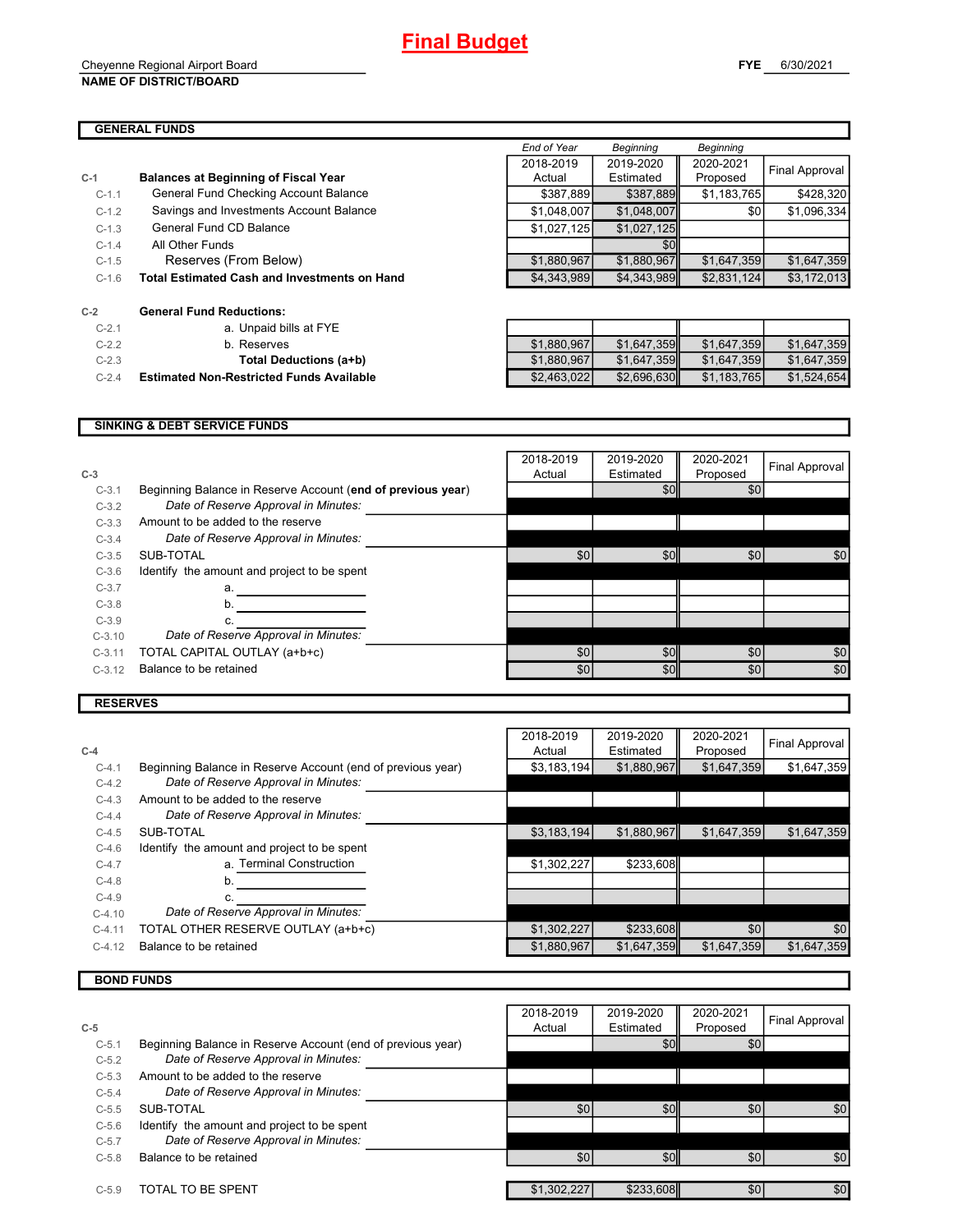#### Cheyenne Regional Airport Board **NAME OF DISTRICT/BOARD**

 $C-2.1$ 

|         |                                                     | End of Year | Beginning   | Beginning   |                |
|---------|-----------------------------------------------------|-------------|-------------|-------------|----------------|
|         |                                                     | 2018-2019   | 2019-2020   | 2020-2021   |                |
| $C-1$   | <b>Balances at Beginning of Fiscal Year</b>         | Actual      | Estimated   | Proposed    | Final Approval |
| $C-1.1$ | General Fund Checking Account Balance               | \$387,889   | \$387,889   | \$1,183,765 | \$428,320      |
| $C-1.2$ | Savings and Investments Account Balance             | \$1,048,007 | \$1,048,007 | \$0         | \$1,096,334    |
| $C-1.3$ | General Fund CD Balance                             | \$1,027,125 | \$1,027,125 |             |                |
| $C-1.4$ | All Other Funds                                     |             | \$0         |             |                |
| $C-1.5$ | Reserves (From Below)                               | \$1,880,967 | \$1,880,967 | \$1,647,359 | \$1,647,359    |
| $C-1.6$ | <b>Total Estimated Cash and Investments on Hand</b> | \$4,343,989 | \$4,343,989 | \$2,831,124 | \$3,172,013    |
| $C-2$   | <b>General Fund Reductions:</b>                     |             |             |             |                |
| $C-2.1$ | a. Unpaid bills at FYE                              |             |             |             |                |

| a. Unpaid bills at FYE        |
|-------------------------------|
| b. Reserves                   |
| <b>Total Deductions (a+b)</b> |

| $C-2.1$ | a. Unpaid bills at FYE                          |             |             |             |             |
|---------|-------------------------------------------------|-------------|-------------|-------------|-------------|
| $C-2.2$ | b. Reserves                                     | \$1,880,967 | \$1.647.359 | \$1.647.359 | \$1,647,359 |
| $C-2.3$ | Total Deductions (a+b)                          | \$1,880,967 | \$1,647,359 | \$1.647.359 | \$1,647,359 |
| $C-2.4$ | <b>Estimated Non-Restricted Funds Available</b> | \$2,463,022 | \$2,696,630 | \$1.183.765 | \$1,524,654 |

#### **SINKING & DEBT SERVICE FUNDS**

| $C-3$    |                                                             | 2018-2019<br>Actual | 2019-2020<br>Estimated | 2020-2021<br>Proposed | Final Approval |
|----------|-------------------------------------------------------------|---------------------|------------------------|-----------------------|----------------|
| $C-3.1$  | Beginning Balance in Reserve Account (end of previous year) |                     | \$0                    | \$0                   |                |
| $C-3.2$  | Date of Reserve Approval in Minutes:                        |                     |                        |                       |                |
| $C-3.3$  | Amount to be added to the reserve                           |                     |                        |                       |                |
| $C-3.4$  | Date of Reserve Approval in Minutes:                        |                     |                        |                       |                |
| $C-3.5$  | SUB-TOTAL                                                   | \$0                 | \$0                    | \$0                   | \$0            |
| $C-3.6$  | Identify the amount and project to be spent                 |                     |                        |                       |                |
| $C-3.7$  | a.                                                          |                     |                        |                       |                |
| $C-3.8$  | b.                                                          |                     |                        |                       |                |
| $C-3.9$  | C.                                                          |                     |                        |                       |                |
| $C-3.10$ | Date of Reserve Approval in Minutes:                        |                     |                        |                       |                |
| $C-3.11$ | TOTAL CAPITAL OUTLAY (a+b+c)                                | \$0                 | \$0                    | \$0                   | \$0            |
| $C-3.12$ | Balance to be retained                                      | \$0                 | \$0                    | \$0                   | \$0            |
|          |                                                             |                     |                        |                       |                |

#### **RESERVES**

|          |                                                             | 2018-2019   | 2019-2020   | 2020-2021   | Final Approval |
|----------|-------------------------------------------------------------|-------------|-------------|-------------|----------------|
| $C-4$    |                                                             | Actual      | Estimated   | Proposed    |                |
| $C-4.1$  | Beginning Balance in Reserve Account (end of previous year) | \$3,183,194 | \$1,880,967 | \$1,647,359 | \$1,647,359    |
| $C-4.2$  | Date of Reserve Approval in Minutes:                        |             |             |             |                |
| $C-4.3$  | Amount to be added to the reserve                           |             |             |             |                |
| $C-4.4$  | Date of Reserve Approval in Minutes:                        |             |             |             |                |
| $C-4.5$  | SUB-TOTAL                                                   | \$3,183,194 | \$1,880,967 | \$1,647,359 | \$1,647,359    |
| $C-4.6$  | Identify the amount and project to be spent                 |             |             |             |                |
| $C-4.7$  | a. Terminal Construction                                    | \$1,302,227 | \$233,608   |             |                |
| $C-4.8$  |                                                             |             |             |             |                |
| $C-4.9$  |                                                             |             |             |             |                |
| $C-4.10$ | Date of Reserve Approval in Minutes:                        |             |             |             |                |
| $C-4.11$ | TOTAL OTHER RESERVE OUTLAY (a+b+c)                          | \$1,302,227 | \$233,608   | \$0         | \$0            |
| $C-4.12$ | Balance to be retained                                      | \$1,880,967 | \$1,647,359 | \$1,647,359 | \$1,647,359    |
|          |                                                             |             |             |             |                |

### **BOND FUNDS**

|         |                                                             | 2018-2019        | 2019-2020 | 2020-2021 | Final Approval |
|---------|-------------------------------------------------------------|------------------|-----------|-----------|----------------|
| $C-5$   |                                                             | Actual           | Estimated | Proposed  |                |
| $C-5.1$ | Beginning Balance in Reserve Account (end of previous year) |                  | \$0       | \$0       |                |
| $C-5.2$ | Date of Reserve Approval in Minutes:                        |                  |           |           |                |
| $C-5.3$ | Amount to be added to the reserve                           |                  |           |           |                |
| $C-5.4$ | Date of Reserve Approval in Minutes:                        |                  |           |           |                |
| $C-5.5$ | SUB-TOTAL                                                   | \$0              | \$0       | \$0       | \$0            |
| $C-5.6$ | Identify the amount and project to be spent                 |                  |           |           |                |
| $C-5.7$ | Date of Reserve Approval in Minutes:                        |                  |           |           |                |
| $C-5.8$ | Balance to be retained                                      | \$0 <sub>1</sub> | \$0       | \$0       | \$0            |
|         |                                                             |                  |           |           |                |
| $C-5.9$ | TOTAL TO BE SPENT                                           | \$1,302,227      | \$233,608 | \$0       | \$0            |